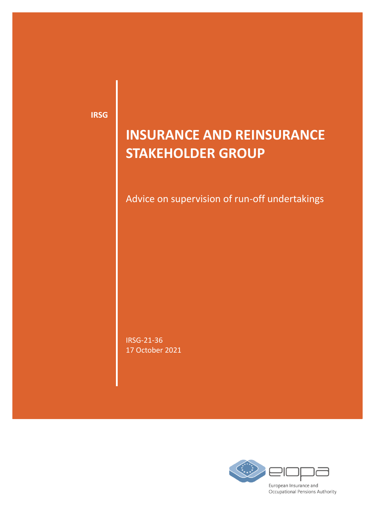**IRSG**

# **INSURANCE AND REINSURANCE STAKEHOLDER GROUP**

Advice on supervision of run-off undertakings

IRSG-21-36 17 October 2021

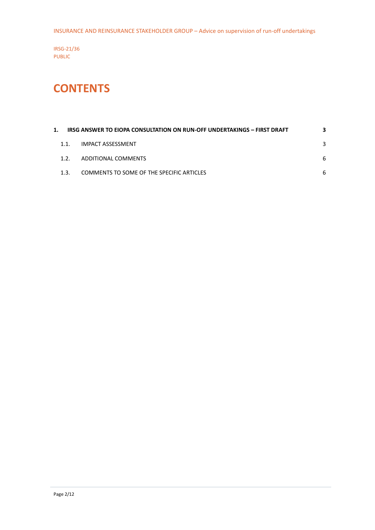INSURANCE AND REINSURANCE STAKEHOLDER GROUP – Advice on supervision of run-off undertakings

IRSG-21/36 PUBLIC

## **CONTENTS**

|      | IRSG ANSWER TO EIOPA CONSULTATION ON RUN-OFF UNDERTAKINGS - FIRST DRAFT | З. |
|------|-------------------------------------------------------------------------|----|
| 1.1. | <b>IMPACT ASSESSMENT</b>                                                | 3  |
| 12   | ADDITIONAL COMMENTS                                                     | 6  |
| 1.3. | COMMENTS TO SOME OF THE SPECIFIC ARTICLES                               | 6  |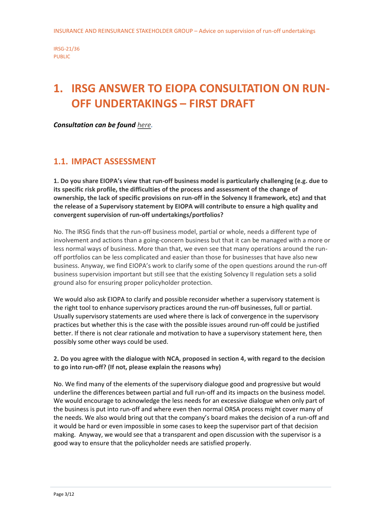## <span id="page-2-0"></span>**1. IRSG ANSWER TO EIOPA CONSULTATION ON RUN-OFF UNDERTAKINGS – FIRST DRAFT**

*Consultation can be found [here.](https://www.eiopa.europa.eu/media/news/eiopa-consults-approach-supervision-of-run-undertakings_en)*

### <span id="page-2-1"></span>**1.1. IMPACT ASSESSMENT**

**1. Do you share EIOPA's view that run-off business model is particularly challenging (e.g. due to its specific risk profile, the difficulties of the process and assessment of the change of ownership, the lack of specific provisions on run-off in the Solvency II framework, etc) and that the release of a Supervisory statement by EIOPA will contribute to ensure a high quality and convergent supervision of run-off undertakings/portfolios?**

No. The IRSG finds that the run-off business model, partial or whole, needs a different type of involvement and actions than a going-concern business but that it can be managed with a more or less normal ways of business. More than that, we even see that many operations around the runoff portfolios can be less complicated and easier than those for businesses that have also new business. Anyway, we find EIOPA's work to clarify some of the open questions around the run-off business supervision important but still see that the existing Solvency II regulation sets a solid ground also for ensuring proper policyholder protection.

We would also ask EIOPA to clarify and possible reconsider whether a supervisory statement is the right tool to enhance supervisory practices around the run-off businesses, full or partial. Usually supervisory statements are used where there is lack of convergence in the supervisory practices but whether this is the case with the possible issues around run-off could be justified better. If there is not clear rationale and motivation to have a supervisory statement here, then possibly some other ways could be used.

**2. Do you agree with the dialogue with NCA, proposed in section 4, with regard to the decision to go into run-off? (If not, please explain the reasons why)**

No. We find many of the elements of the supervisory dialogue good and progressive but would underline the differences between partial and full run-off and its impacts on the business model. We would encourage to acknowledge the less needs for an excessive dialogue when only part of the business is put into run-off and where even then normal ORSA process might cover many of the needs. We also would bring out that the company's board makes the decision of a run-off and it would be hard or even impossible in some cases to keep the supervisor part of that decision making. Anyway, we would see that a transparent and open discussion with the supervisor is a good way to ensure that the policyholder needs are satisfied properly.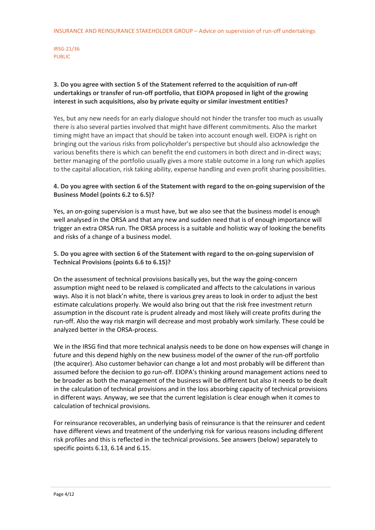### **3. Do you agree with section 5 of the Statement referred to the acquisition of run-off undertakings or transfer of run-off portfolio, that EIOPA proposed in light of the growing interest in such acquisitions, also by private equity or similar investment entities?**

Yes, but any new needs for an early dialogue should not hinder the transfer too much as usually there is also several parties involved that might have different commitments. Also the market timing might have an impact that should be taken into account enough well. EIOPA is right on bringing out the various risks from policyholder's perspective but should also acknowledge the various benefits there is which can benefit the end customers in both direct and in-direct ways; better managing of the portfolio usually gives a more stable outcome in a long run which applies to the capital allocation, risk taking ability, expense handling and even profit sharing possibilities.

### **4. Do you agree with section 6 of the Statement with regard to the on-going supervision of the Business Model (points 6.2 to 6.5)?**

Yes, an on-going supervision is a must have, but we also see that the business model is enough well analysed in the ORSA and that any new and sudden need that is of enough importance will trigger an extra ORSA run. The ORSA process is a suitable and holistic way of looking the benefits and risks of a change of a business model.

**5. Do you agree with section 6 of the Statement with regard to the on-going supervision of Technical Provisions (points 6.6 to 6.15)?**

On the assessment of technical provisions basically yes, but the way the going-concern assumption might need to be relaxed is complicated and affects to the calculations in various ways. Also it is not black'n white, there is various grey areas to look in order to adjust the best estimate calculations properly. We would also bring out that the risk free investment return assumption in the discount rate is prudent already and most likely will create profits during the run-off. Also the way risk margin will decrease and most probably work similarly. These could be analyzed better in the ORSA-process.

We in the IRSG find that more technical analysis needs to be done on how expenses will change in future and this depend highly on the new business model of the owner of the run-off portfolio (the acquirer). Also customer behavior can change a lot and most probably will be different than assumed before the decision to go run-off. EIOPA's thinking around management actions need to be broader as both the management of the business will be different but also it needs to be dealt in the calculation of technical provisions and in the loss absorbing capacity of technical provisions in different ways. Anyway, we see that the current legislation is clear enough when it comes to calculation of technical provisions.

For reinsurance recoverables, an underlying basis of reinsurance is that the reinsurer and cedent have different views and treatment of the underlying risk for various reasons including different risk profiles and this is reflected in the technical provisions. See answers (below) separately to specific points 6.13, 6.14 and 6.15.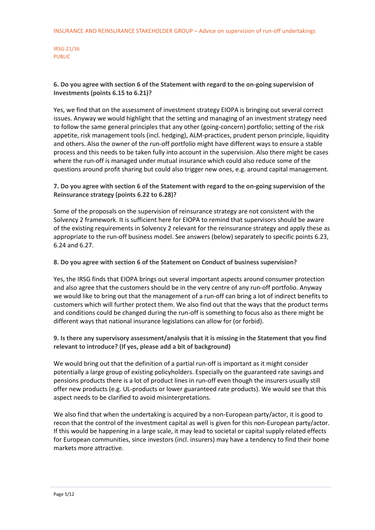### **6. Do you agree with section 6 of the Statement with regard to the on-going supervision of Investments (points 6.15 to 6.21)?**

Yes, we find that on the assessment of investment strategy EIOPA is bringing out several correct issues. Anyway we would highlight that the setting and managing of an investment strategy need to follow the same general principles that any other (going-concern) portfolio; setting of the risk appetite, risk management tools (incl. hedging), ALM-practices, prudent person principle, liquidity and others. Also the owner of the run-off portfolio might have different ways to ensure a stable process and this needs to be taken fully into account in the supervision. Also there might be cases where the run-off is managed under mutual insurance which could also reduce some of the questions around profit sharing but could also trigger new ones, e.g. around capital management.

### **7. Do you agree with section 6 of the Statement with regard to the on-going supervision of the Reinsurance strategy (points 6.22 to 6.28)?**

Some of the proposals on the supervision of reinsurance strategy are not consistent with the Solvency 2 framework. It is sufficient here for EIOPA to remind that supervisors should be aware of the existing requirements in Solvency 2 relevant for the reinsurance strategy and apply these as appropriate to the run-off business model. See answers (below) separately to specific points 6.23, 6.24 and 6.27.

### **8. Do you agree with section 6 of the Statement on Conduct of business supervision?**

Yes, the IRSG finds that EIOPA brings out several important aspects around consumer protection and also agree that the customers should be in the very centre of any run-off portfolio. Anyway we would like to bring out that the management of a run-off can bring a lot of indirect benefits to customers which will further protect them. We also find out that the ways that the product terms and conditions could be changed during the run-off is something to focus also as there might be different ways that national insurance legislations can allow for (or forbid).

### **9. Is there any supervisory assessment/analysis that it is missing in the Statement that you find relevant to introduce? (If yes, please add a bit of background)**

We would bring out that the definition of a partial run-off is important as it might consider potentially a large group of existing policyholders. Especially on the guaranteed rate savings and pensions products there is a lot of product lines in run-off even though the insurers usually still offer new products (e.g. UL-products or lower guaranteed rate products). We would see that this aspect needs to be clarified to avoid misinterpretations.

We also find that when the undertaking is acquired by a non-European party/actor, it is good to recon that the control of the investment capital as well is given for this non-European party/actor. If this would be happening in a large scale, it may lead to societal or capital supply related effects for European communities, since investors (incl. insurers) may have a tendency to find their home markets more attractive.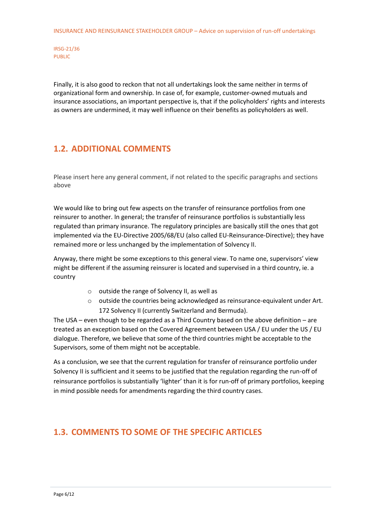Finally, it is also good to reckon that not all undertakings look the same neither in terms of organizational form and ownership. In case of, for example, customer-owned mutuals and insurance associations, an important perspective is, that if the policyholders' rights and interests as owners are undermined, it may well influence on their benefits as policyholders as well.

### <span id="page-5-0"></span>**1.2. ADDITIONAL COMMENTS**

Please insert here any general comment, if not related to the specific paragraphs and sections above

We would like to bring out few aspects on the transfer of reinsurance portfolios from one reinsurer to another. In general; the transfer of reinsurance portfolios is substantially less regulated than primary insurance. The regulatory principles are basically still the ones that got implemented via the EU-Directive 2005/68/EU (also called EU-Reinsurance-Directive); they have remained more or less unchanged by the implementation of Solvency II.

Anyway, there might be some exceptions to this general view. To name one, supervisors' view might be different if the assuming reinsurer is located and supervised in a third country, ie. a country

- o outside the range of Solvency II, as well as
- o outside the countries being acknowledged as reinsurance-equivalent under Art. 172 Solvency II (currently Switzerland and Bermuda).

The USA – even though to be regarded as a Third Country based on the above definition – are treated as an exception based on the Covered Agreement between USA / EU under the US / EU dialogue. Therefore, we believe that some of the third countries might be acceptable to the Supervisors, some of them might not be acceptable.

As a conclusion, we see that the current regulation for transfer of reinsurance portfolio under Solvency II is sufficient and it seems to be justified that the regulation regarding the run-off of reinsurance portfolios is substantially 'lighter' than it is for run-off of primary portfolios, keeping in mind possible needs for amendments regarding the third country cases.

### <span id="page-5-1"></span>**1.3. COMMENTS TO SOME OF THE SPECIFIC ARTICLES**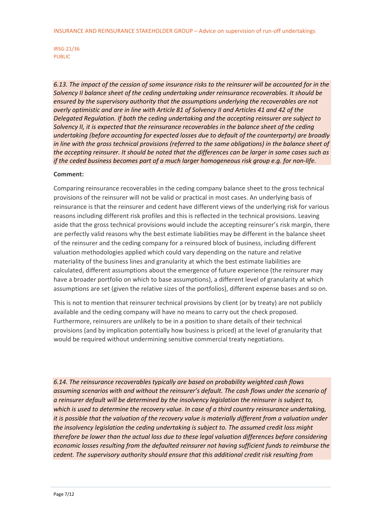*6.13. The impact of the cession of some insurance risks to the reinsurer will be accounted for in the Solvency II balance sheet of the ceding undertaking under reinsurance recoverables. It should be ensured by the supervisory authority that the assumptions underlying the recoverables are not overly optimistic and are in line with Article 81 of Solvency II and Articles 41 and 42 of the Delegated Regulation. If both the ceding undertaking and the accepting reinsurer are subject to Solvency II, it is expected that the reinsurance recoverables in the balance sheet of the ceding undertaking (before accounting for expected losses due to default of the counterparty) are broadly in line with the gross technical provisions (referred to the same obligations) in the balance sheet of the accepting reinsurer. It should be noted that the differences can be larger in some cases such as if the ceded business becomes part of a much larger homogeneous risk group e.g. for non-life.*

### **Comment:**

Comparing reinsurance recoverables in the ceding company balance sheet to the gross technical provisions of the reinsurer will not be valid or practical in most cases. An underlying basis of reinsurance is that the reinsurer and cedent have different views of the underlying risk for various reasons including different risk profiles and this is reflected in the technical provisions. Leaving aside that the gross technical provisions would include the accepting reinsurer's risk margin, there are perfectly valid reasons why the best estimate liabilities may be different in the balance sheet of the reinsurer and the ceding company for a reinsured block of business, including different valuation methodologies applied which could vary depending on the nature and relative materiality of the business lines and granularity at which the best estimate liabilities are calculated, different assumptions about the emergence of future experience (the reinsurer may have a broader portfolio on which to base assumptions), a different level of granularity at which assumptions are set (given the relative sizes of the portfolios), different expense bases and so on.

This is not to mention that reinsurer technical provisions by client (or by treaty) are not publicly available and the ceding company will have no means to carry out the check proposed. Furthermore, reinsurers are unlikely to be in a position to share details of their technical provisions (and by implication potentially how business is priced) at the level of granularity that would be required without undermining sensitive commercial treaty negotiations.

*6.14. The reinsurance recoverables typically are based on probability weighted cash flows assuming scenarios with and without the reinsurer's default. The cash flows under the scenario of a reinsurer default will be determined by the insolvency legislation the reinsurer is subject to, which is used to determine the recovery value. In case of a third country reinsurance undertaking, it is possible that the valuation of the recovery value is materially different from a valuation under the insolvency legislation the ceding undertaking is subject to. The assumed credit loss might therefore be lower than the actual loss due to these legal valuation differences before considering economic losses resulting from the defaulted reinsurer not having sufficient funds to reimburse the cedent. The supervisory authority should ensure that this additional credit risk resulting from* 

IRSG-21/36 PUBLIC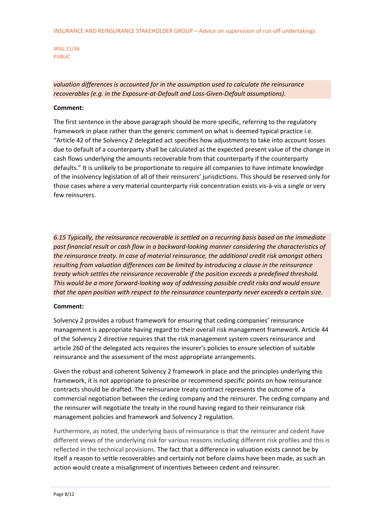### *valuation differences is accounted for in the assumption used to calculate the reinsurance recoverables (e.g. in the Exposure-at-Default and Loss-Given-Default assumptions).*

#### **Comment:**

The first sentence in the above paragraph should be more specific, referring to the regulatory framework in place rather than the generic comment on what is deemed typical practice i.e. "Article 42 of the Solvency 2 delegated act specifies how adjustments to take into account losses due to default of a counterparty shall be calculated as the expected present value of the change in cash flows underlying the amounts recoverable from that counterparty if the counterparty defaults." It is unlikely to be proportionate to require all companies to have intimate knowledge of the insolvency legislation of all of their reinsurers' jurisdictions. This should be reserved only for those cases where a very material counterparty risk concentration exists vis-à-vis a single or very few reinsurers.

*6.15 Typically, the reinsurance recoverable is settled on a recurring basis based on the immediate past financial result or cash flow in a backward-looking manner considering the characteristics of the reinsurance treaty. In case of material reinsurance, the additional credit risk amongst others resulting from valuation differences can be limited by introducing a clause in the reinsurance treaty which settles the reinsurance recoverable if the position exceeds a predefined threshold. This would be a more forward-looking way of addressing possible credit risks and would ensure that the open position with respect to the reinsurance counterparty never exceeds a certain size.*

#### **Comment:**

Solvency 2 provides a robust framework for ensuring that ceding companies' reinsurance management is appropriate having regard to their overall risk management framework. Article 44 of the Solvency 2 directive requires that the risk management system covers reinsurance and article 260 of the delegated acts requires the insurer's policies to ensure selection of suitable reinsurance and the assessment of the most appropriate arrangements.

Given the robust and coherent Solvency 2 framework in place and the principles underlying this framework, it is not appropriate to prescribe or recommend specific points on how reinsurance contracts should be drafted. The reinsurance treaty contract represents the outcome of a commercial negotiation between the ceding company and the reinsurer. The ceding company and the reinsurer will negotiate the treaty in the round having regard to their reinsurance risk management policies and framework and Solvency 2 regulation.

Furthermore, as noted, the underlying basis of reinsurance is that the reinsurer and cedent have different views of the underlying risk for various reasons including different risk profiles and this is reflected in the technical provisions. The fact that a difference in valuation exists cannot be by itself a reason to settle recoverables and certainly not before claims have been made, as such an action would create a misalignment of incentives between cedent and reinsurer.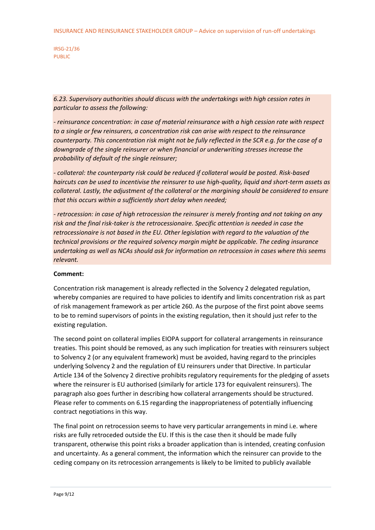*6.23. Supervisory authorities should discuss with the undertakings with high cession rates in particular to assess the following:*

*- reinsurance concentration: in case of material reinsurance with a high cession rate with respect to a single or few reinsurers, a concentration risk can arise with respect to the reinsurance counterparty. This concentration risk might not be fully reflected in the SCR e.g. for the case of a downgrade of the single reinsurer or when financial or underwriting stresses increase the probability of default of the single reinsurer;*

*- collateral: the counterparty risk could be reduced if collateral would be posted. Risk-based haircuts can be used to incentivise the reinsurer to use high-quality, liquid and short-term assets as collateral. Lastly, the adjustment of the collateral or the margining should be considered to ensure that this occurs within a sufficiently short delay when needed;*

*- retrocession: in case of high retrocession the reinsurer is merely fronting and not taking on any risk and the final risk-taker is the retrocessionaire. Specific attention is needed in case the retrocessionaire is not based in the EU. Other legislation with regard to the valuation of the technical provisions or the required solvency margin might be applicable. The ceding insurance undertaking as well as NCAs should ask for information on retrocession in cases where this seems relevant.*

### **Comment:**

Concentration risk management is already reflected in the Solvency 2 delegated regulation, whereby companies are required to have policies to identify and limits concentration risk as part of risk management framework as per article 260. As the purpose of the first point above seems to be to remind supervisors of points in the existing regulation, then it should just refer to the existing regulation.

The second point on collateral implies EIOPA support for collateral arrangements in reinsurance treaties. This point should be removed, as any such implication for treaties with reinsurers subject to Solvency 2 (or any equivalent framework) must be avoided, having regard to the principles underlying Solvency 2 and the regulation of EU reinsurers under that Directive. In particular Article 134 of the Solvency 2 directive prohibits regulatory requirements for the pledging of assets where the reinsurer is EU authorised (similarly for article 173 for equivalent reinsurers). The paragraph also goes further in describing how collateral arrangements should be structured. Please refer to comments on 6.15 regarding the inappropriateness of potentially influencing contract negotiations in this way.

The final point on retrocession seems to have very particular arrangements in mind i.e. where risks are fully retroceded outside the EU. If this is the case then it should be made fully transparent, otherwise this point risks a broader application than is intended, creating confusion and uncertainty. As a general comment, the information which the reinsurer can provide to the ceding company on its retrocession arrangements is likely to be limited to publicly available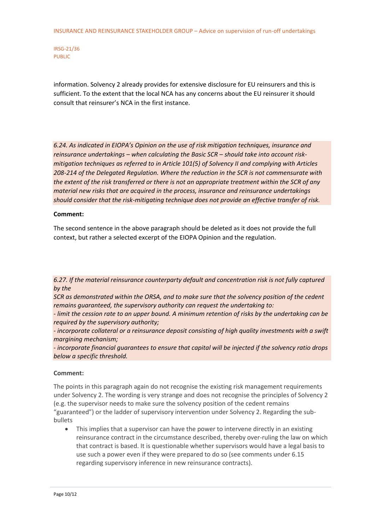information. Solvency 2 already provides for extensive disclosure for EU reinsurers and this is sufficient. To the extent that the local NCA has any concerns about the EU reinsurer it should consult that reinsurer's NCA in the first instance.

*6.24. As indicated in EIOPA's Opinion on the use of risk mitigation techniques, insurance and reinsurance undertakings – when calculating the Basic SCR – should take into account riskmitigation techniques as referred to in Article 101(5) of Solvency II and complying with Articles 208-214 of the Delegated Regulation. Where the reduction in the SCR is not commensurate with the extent of the risk transferred or there is not an appropriate treatment within the SCR of any material new risks that are acquired in the process, insurance and reinsurance undertakings should consider that the risk-mitigating technique does not provide an effective transfer of risk.*

### **Comment:**

The second sentence in the above paragraph should be deleted as it does not provide the full context, but rather a selected excerpt of the EIOPA Opinion and the regulation.

*6.27. If the material reinsurance counterparty default and concentration risk is not fully captured by the*

*SCR as demonstrated within the ORSA, and to make sure that the solvency position of the cedent remains guaranteed, the supervisory authority can request the undertaking to:*

*- limit the cession rate to an upper bound. A minimum retention of risks by the undertaking can be required by the supervisory authority;*

*- incorporate collateral or a reinsurance deposit consisting of high quality investments with a swift margining mechanism;*

*- incorporate financial guarantees to ensure that capital will be injected if the solvency ratio drops below a specific threshold.*

#### **Comment:**

The points in this paragraph again do not recognise the existing risk management requirements under Solvency 2. The wording is very strange and does not recognise the principles of Solvency 2 (e.g. the supervisor needs to make sure the solvency position of the cedent remains "guaranteed") or the ladder of supervisory intervention under Solvency 2. Regarding the subbullets

 This implies that a supervisor can have the power to intervene directly in an existing reinsurance contract in the circumstance described, thereby over-ruling the law on which that contract is based. It is questionable whether supervisors would have a legal basis to use such a power even if they were prepared to do so (see comments under 6.15 regarding supervisory inference in new reinsurance contracts).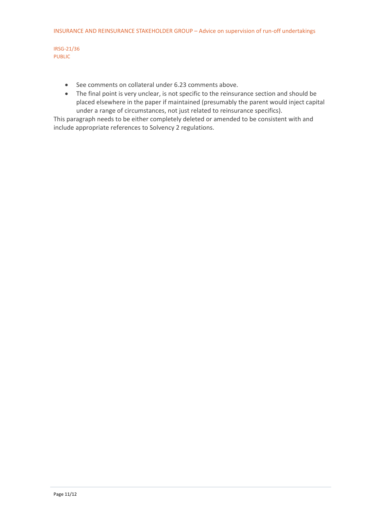- See comments on collateral under 6.23 comments above.
- The final point is very unclear, is not specific to the reinsurance section and should be placed elsewhere in the paper if maintained (presumably the parent would inject capital under a range of circumstances, not just related to reinsurance specifics).

This paragraph needs to be either completely deleted or amended to be consistent with and include appropriate references to Solvency 2 regulations.